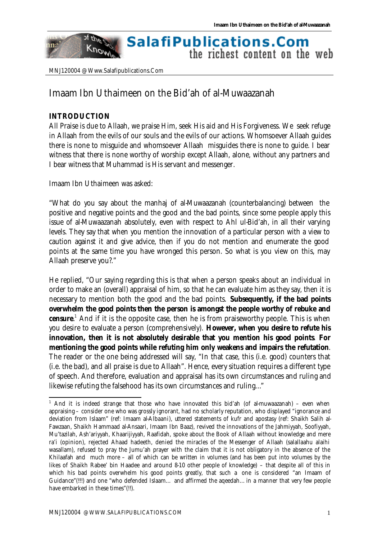#### of they **SalafiPublications.Com** Know the richest content on the web

MNJ120004 @ Www.Salafipublications.Com

# Imaam Ibn Uthaimeen on the Bid'ah of al-Muwaazanah

# **INTRODUCTION**

nn:

l

All Praise is due to Allaah, we praise Him, seek His aid and His Forgiveness. We seek refuge in Allaah from the evils of our souls and the evils of our actions. Whomsoever Allaah guides there is none to misguide and whomsoever Allaah misguides there is none to guide. I bear witness that there is none worthy of worship except Allaah, alone, without any partners and I bear witness that Muhammad is His servant and messenger.

Imaam Ibn Uthaimeen was asked:

"What do you say about the manhaj of al-Muwaazanah (counterbalancing) between the positive and negative points and the good and the bad points, since some people apply this issue of al-Muwaazanah absolutely, even with respect to Ahl ul-Bid'ah, in all their varying levels. They say that when you mention the innovation of a particular person with a view to caution against it and give advice, then if you do not mention and enumerate the good points at the same time you have wronged this person. So what is you view on this, may Allaah preserve you?."

He replied, "Our saying regarding this is that when a person speaks about an individual in order to make an (overall) appraisal of him, so that he can evaluate him as they say, then it is necessary to mention both the good and the bad points. **Subsequently, if the bad points overwhelm the good points then the person is amongst the people worthy of rebuke and censure**.<sup>1</sup> And if it is the opposite case, then he is from praiseworthy people. This is when you desire to evaluate a person (comprehensively). **However, when you desire to refute his innovation, then it is not absolutely desirable that you mention his good points**. **For mentioning the good points while refuting him only weakens and impairs the refutation**. The reader or the one being addressed will say, "In that case, this (i.e. good) counters that (i.e. the bad), and all praise is due to Allaah". Hence, every situation requires a different type of speech. And therefore, evaluation and appraisal has its own circumstances and ruling and likewise refuting the falsehood has its own circumstances and ruling…"

<sup>&</sup>lt;sup>1</sup> And it is indeed strange that those who have innovated this bid'ah (of al-muwaazanah) – even when appraising – consider one who was grossly ignorant, had no scholarly reputation, who displayed "ignorance and deviation from Islaam" (ref: Imaam al-Albaani), uttered statements of kufr and apostasy (ref: Shaikh Salih al-Fawzaan, Shaikh Hammaad al-Ansaari, Imaam Ibn Baaz), revived the innovations of the Jahmiyyah, Soofiyyah, Mu'tazilah, Ash'ariyyah, Khaarijiyyah, Raafidah, spoke about the Book of Allaah without knowledge and mere ra'i (opinion), rejected Ahaad hadeeth, denied the miracles of the Messenger of Allaah (salallaahu alaihi wasallam), refused to pray the Jumu'ah prayer with the claim that it is not obligatory in the absence of the Khilaafah and much more – all of which can be written in volumes (and has been put into volumes by the likes of Shaikh Rabee' bin Haadee and around 8-10 other people of knowledge) – that despite all of this in which his bad points overwhelm his good points greatly, that such a one is considered "an Imaam of Guidance"(!!!) and one "who defended Islaam… and affirmed the aqeedah… in a manner that very few people have embarked in these times"(!!).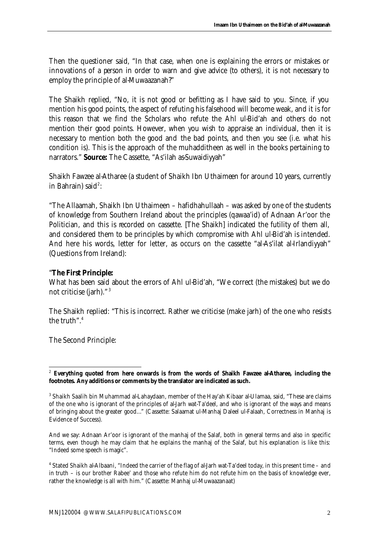Then the questioner said, "In that case, when one is explaining the errors or mistakes or innovations of a person in order to warn and give advice (to others), it is not necessary to employ the principle of al-Muwaazanah?"

The Shaikh replied, "No, it is not good or befitting as I have said to you. Since, if you mention his good points, the aspect of refuting his falsehood will become weak, and it is for this reason that we find the Scholars who refute the Ahl ul-Bid'ah and others do not mention their good points. However, when you wish to appraise an individual, then it is necessary to mention both the good and the bad points, and then you see (i.e. what his condition is). This is the approach of the muhadditheen as well in the books pertaining to narrators." **Source:** The Cassette, "As'ilah as-Suwaidiyyah"

Shaikh Fawzee al-Atharee (a student of Shaikh Ibn Uthaimeen for around 10 years, currently in Bahrain) said $^2$ :

"The Allaamah, Shaikh Ibn Uthaimeen – hafidhahullaah – was asked by one of the students of knowledge from Southern Ireland about the principles (qawaa'id) of Adnaan Ar'oor the Politician, and this is recorded on cassette. [The Shaikh] indicated the futility of them all, and considered them to be principles by which compromise with Ahl ul-Bid'ah is intended. And here his words, letter for letter, as occurs on the cassette "al-As'ilat al-Irlandiyyah" (Questions from Ireland):

### "**The First Principle:**

What has been said about the errors of Ahl ul-Bid'ah, "We correct (the mistakes) but we do not criticise (jarh)." <sup>3</sup>

The Shaikh replied: "This is incorrect. Rather we criticise (make jarh) of the one who resists the truth" 4

The Second Principle:

l <sup>2</sup> **Everything quoted from here onwards is from the words of Shaikh Fawzee al-Atharee, including the footnotes. Any additions or comments by the translator are indicated as such.**

<sup>&</sup>lt;sup>3</sup> Shaikh Saalih bin Muhammad al-Lahaydaan, member of the Hay'ah Kibaar al-Ulamaa, said, "These are claims of the one who is ignorant of the principles of al-Jarh wat-Ta'deel, and who is ignorant of the ways and means of bringing about the greater good…" (Cassette: Salaamat ul-Manhaj Daleel ul-Falaah, Correctness in Manhaj is Evidence of Success).

And we say: Adnaan Ar'oor is ignorant of the manhaj of the Salaf, both in general terms and also in specific terms, even though he may claim that he explains the manhaj of the Salaf, but his explanation is like this: "Indeed some speech is magic".

<sup>4</sup> Stated Shaikh al-Albaani, "Indeed the carrier of the flag of al-Jarh wat-Ta'deel today, in this present time – and in truth – is our brother Rabee' and those who refute him do not refute him on the basis of knowledge ever, rather the knowledge is all with him." (Cassette: Manhaj ul-Muwaazanaat)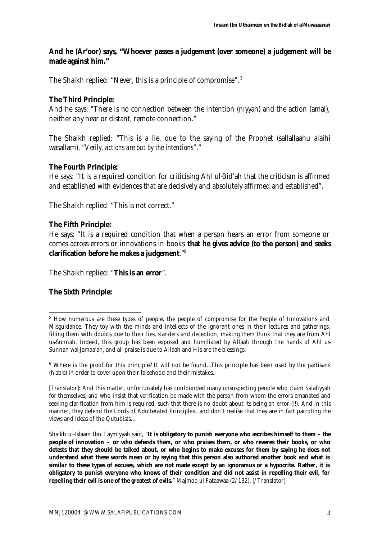# **And he (Ar'oor) says, "Whoever passes a judgement (over someone) a judgement will be made against him."**

The Shaikh replied: "Never, this is a principle of compromise".<sup>5</sup>

# **The Third Principle:**

And he says: "There is no connection between the intention (niyyah) and the action (amal), neither any near or distant, remote connection."

The Shaikh replied: "This is a lie, due to the saying of the Prophet (sallallaahu alaihi wasallam), "*Verily, actions are but by the intentions*"."

## **The Fourth Principle:**

He says: "It is a required condition for criticising Ahl ul-Bid'ah that the criticism is affirmed and established with evidences that are decisively and absolutely affirmed and established".

The Shaikh replied: "This is not correct."

#### **The Fifth Principle:**

He says: "It is a required condition that when a person hears an error from someone or comes across errors or innovations in books **that he gives advice (to the person) and seeks clarification before he makes a judgement**."<sup>6</sup>

The Shaikh replied: "**This is an error**".

#### **The Sixth Principle:**

l

<sup>&</sup>lt;sup>5</sup> How numerous are these types of people, the people of compromise for the People of Innovations and Misguidance. They toy with the minds and intellects of the ignorant ones in their lectures and gatherings, filling them with doubts due to their lies, slanders and deception, making them think that they are from Ahl us-Sunnah. Indeed, this group has been exposed and humiliated by Allaah through the hands of Ahl us-Sunnah wal-Jamaa'ah, and all praise is due to Allaah and His are the blessings.

<sup>&</sup>lt;sup>6</sup> Where is the proof for this principle? It will not be found...This principle has been used by the partisans (hizbis) in order to cover upon their falsehood and their mistakes.

<sup>[</sup>Translator]: And this matter, unfortunately has confounded many unsuspecting people who claim Salafiyyah for themselves, and who insist that verification be made with the person from whom the errors emanated and seeking clarification from him is required, such that there is no doubt about its being an error (!!). And in this manner, they defend the Lords of Adulterated Principles…and don't realise that they are in fact parroting the views and ideas of the Qutubists…

Shaikh ul-Islaam Ibn Taymiyyah said, "**It is obligatory to punish everyone who ascribes himself to them – the people of innovation – or who defends them, or who praises them, or who reveres their books, or who detests that they should be talked about, or who begins to make excuses for them by saying he does not understand what these words mean or by saying that this person also authored another book and what is similar to these types of excuses, which are not made except by an ignoramus or a hypocrite. Rather, it is obligatory to punish everyone who knows of their condition and did not assist in repelling their evil, for repelling their evil is one of the greatest of evils.**" Majmoo ul-Fataawaa (2/132). [/Translator].